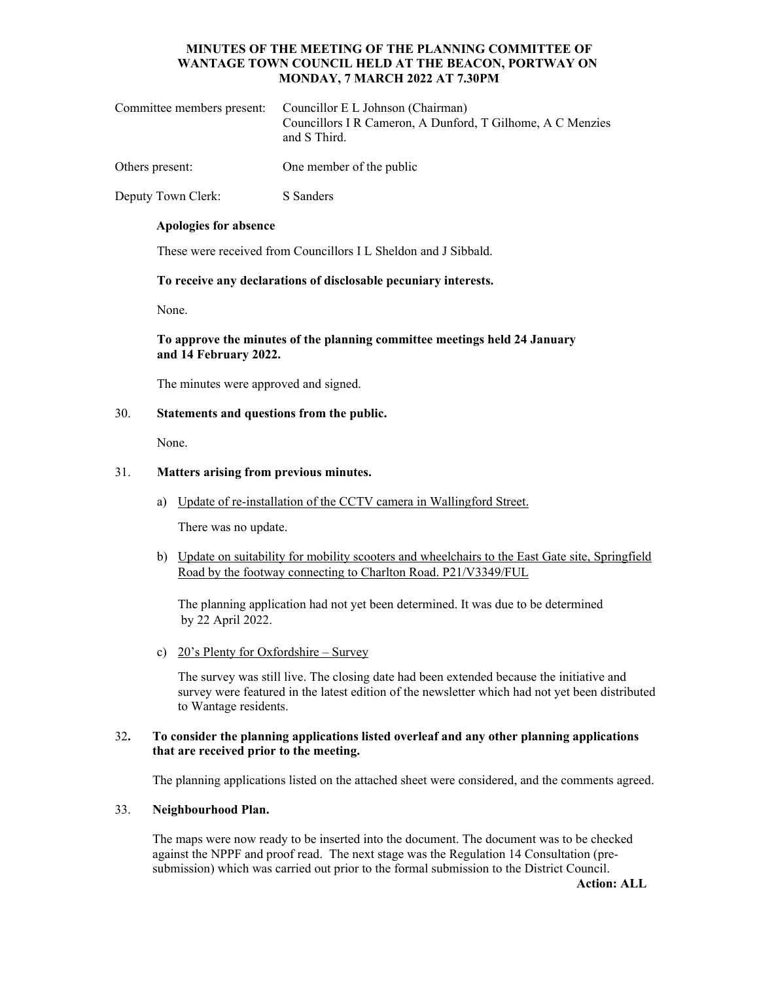# **MINUTES OF THE MEETING OF THE PLANNING COMMITTEE OF WANTAGE TOWN COUNCIL HELD AT THE BEACON, PORTWAY ON MONDAY, 7 MARCH 2022 AT 7.30PM**

| Committee members present: Councillor E L Johnson (Chairman)<br>Councillors I R Cameron, A Dunford, T Gilhome, A C Menzies<br>and S Third. |
|--------------------------------------------------------------------------------------------------------------------------------------------|
|                                                                                                                                            |

Others present: One member of the public

Deputy Town Clerk: S Sanders

#### **Apologies for absence**

These were received from Councillors I L Sheldon and J Sibbald.

### **To receive any declarations of disclosable pecuniary interests.**

None.

## **To approve the minutes of the planning committee meetings held 24 January and 14 February 2022.**

The minutes were approved and signed.

#### 30. **Statements and questions from the public.**

None.

#### 31. **Matters arising from previous minutes.**

a) Update of re-installation of the CCTV camera in Wallingford Street.

There was no update.

b) Update on suitability for mobility scooters and wheelchairs to the East Gate site, Springfield Road by the footway connecting to Charlton Road. P21/V3349/FUL

The planning application had not yet been determined. It was due to be determined by 22 April 2022.

c) 20's Plenty for Oxfordshire – Survey

The survey was still live. The closing date had been extended because the initiative and survey were featured in the latest edition of the newsletter which had not yet been distributed to Wantage residents.

#### 32**. To consider the planning applications listed overleaf and any other planning applications that are received prior to the meeting.**

The planning applications listed on the attached sheet were considered, and the comments agreed.

### 33. **Neighbourhood Plan.**

 The maps were now ready to be inserted into the document. The document was to be checked against the NPPF and proof read. The next stage was the Regulation 14 Consultation (presubmission) which was carried out prior to the formal submission to the District Council.

**Action: ALL**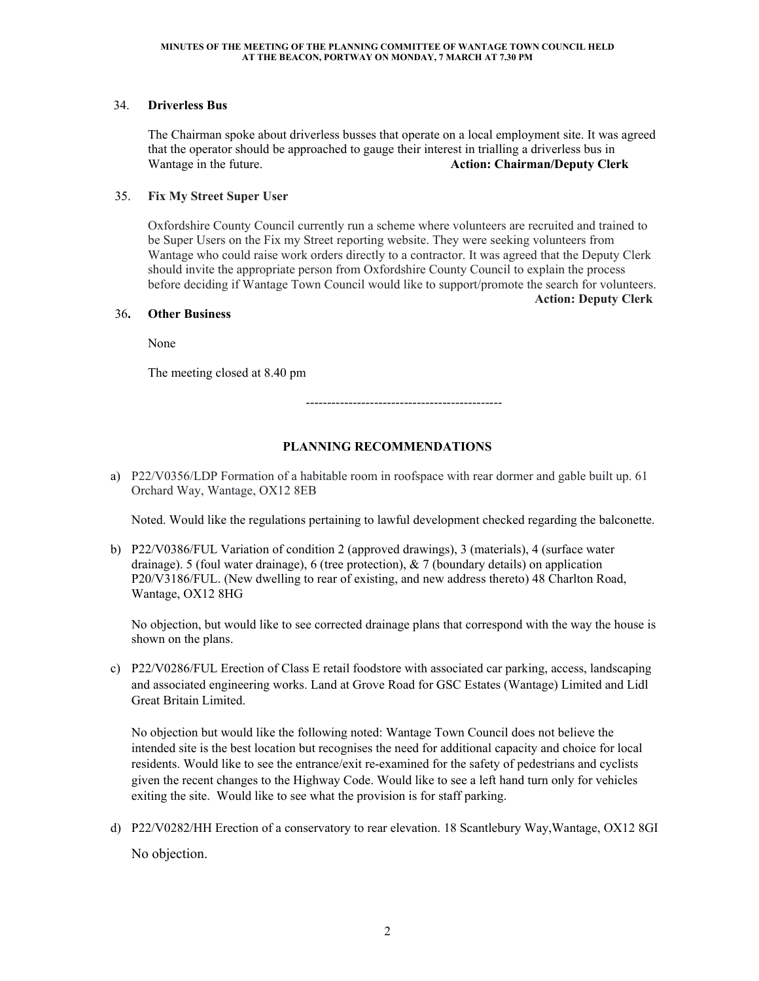# 34. **Driverless Bus**

The Chairman spoke about driverless busses that operate on a local employment site. It was agreed that the operator should be approached to gauge their interest in trialling a driverless bus in Wantage in the future. **Action: Chairman/Deputy Clerk**

# 35. **Fix My Street Super User**

 Oxfordshire County Council currently run a scheme where volunteers are recruited and trained to be Super Users on the Fix my Street reporting website. They were seeking volunteers from Wantage who could raise work orders directly to a contractor. It was agreed that the Deputy Clerk should invite the appropriate person from Oxfordshire County Council to explain the process before deciding if Wantage Town Council would like to support/promote the search for volunteers. **Action: Deputy Clerk** 

# 36**. Other Business**

None

The meeting closed at 8.40 pm

----------------------------------------------

# **PLANNING RECOMMENDATIONS**

a) P22/V0356/LDP Formation of a habitable room in roofspace with rear dormer and gable built up. 61 Orchard Way, Wantage, OX12 8EB

Noted. Would like the regulations pertaining to lawful development checked regarding the balconette.

b) P22/V0386/FUL Variation of condition 2 (approved drawings), 3 (materials), 4 (surface water drainage). 5 (foul water drainage), 6 (tree protection), & 7 (boundary details) on application P20/V3186/FUL. (New dwelling to rear of existing, and new address thereto) 48 Charlton Road, Wantage, OX12 8HG

No objection, but would like to see corrected drainage plans that correspond with the way the house is shown on the plans.

c) P22/V0286/FUL Erection of Class E retail foodstore with associated car parking, access, landscaping and associated engineering works. Land at Grove Road for GSC Estates (Wantage) Limited and Lidl Great Britain Limited.

No objection but would like the following noted: Wantage Town Council does not believe the intended site is the best location but recognises the need for additional capacity and choice for local residents. Would like to see the entrance/exit re-examined for the safety of pedestrians and cyclists given the recent changes to the Highway Code. Would like to see a left hand turn only for vehicles exiting the site. Would like to see what the provision is for staff parking.

d) P22/V0282/HH Erection of a conservatory to rear elevation. 18 Scantlebury Way,Wantage, OX12 8GI No objection.